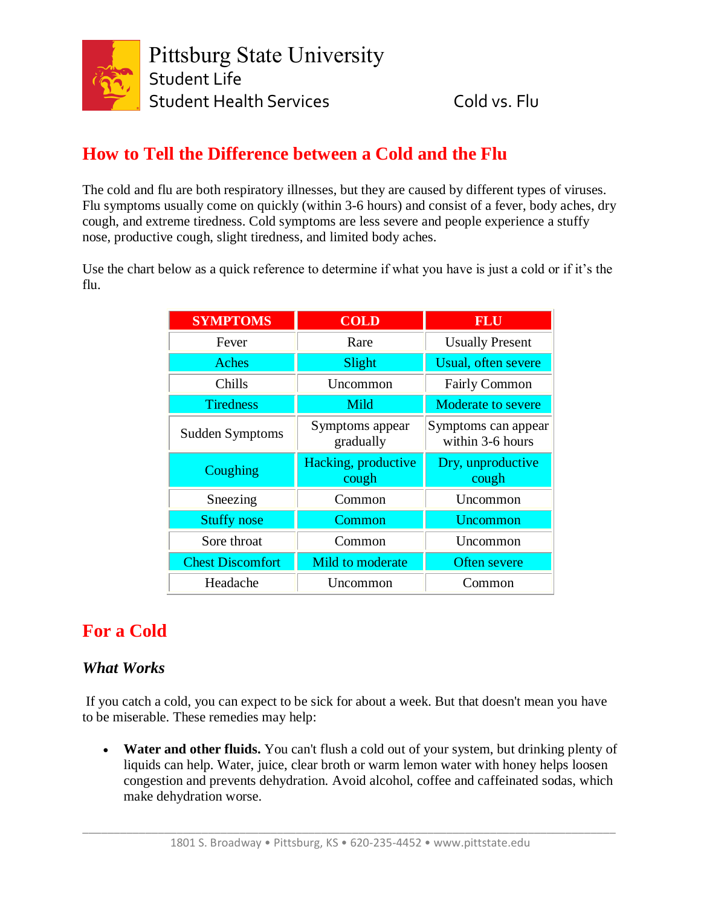

## **How to Tell the Difference between a Cold and the Flu**

The cold and flu are both respiratory illnesses, but they are caused by different types of viruses. Flu symptoms usually come on quickly (within 3-6 hours) and consist of a fever, body aches, dry cough, and extreme tiredness. Cold symptoms are less severe and people experience a stuffy nose, productive cough, slight tiredness, and limited body aches.

Use the chart below as a quick reference to determine if what you have is just a cold or if it's the flu.

| <b>SYMPTOMS</b>         | <b>COLD</b>                  | <b>FLU</b>                              |
|-------------------------|------------------------------|-----------------------------------------|
| Fever                   | Rare                         | <b>Usually Present</b>                  |
| Aches                   | Slight                       | Usual, often severe                     |
| Chills                  | Uncommon                     | <b>Fairly Common</b>                    |
| <b>Tiredness</b>        | Mild                         | <b>Moderate to severe</b>               |
| Sudden Symptoms         | Symptoms appear<br>gradually | Symptoms can appear<br>within 3-6 hours |
|                         |                              |                                         |
| Coughing                | Hacking, productive<br>cough | Dry, unproductive<br>cough              |
| Sneezing                | Common                       | Uncommon                                |
| <b>Stuffy nose</b>      | Common                       | Uncommon                                |
| Sore throat             | Common                       | Uncommon                                |
| <b>Chest Discomfort</b> | Mild to moderate             | Often severe                            |

## **For a Cold**

### *What Works*

If you catch a cold, you can expect to be sick for about a week. But that doesn't mean you have to be miserable. These remedies may help:

• **Water and other fluids.** You can't flush a cold out of your system, but drinking plenty of liquids can help. Water, juice, clear broth or warm lemon water with honey helps loosen congestion and prevents dehydration. Avoid alcohol, coffee and caffeinated sodas, which make dehydration worse.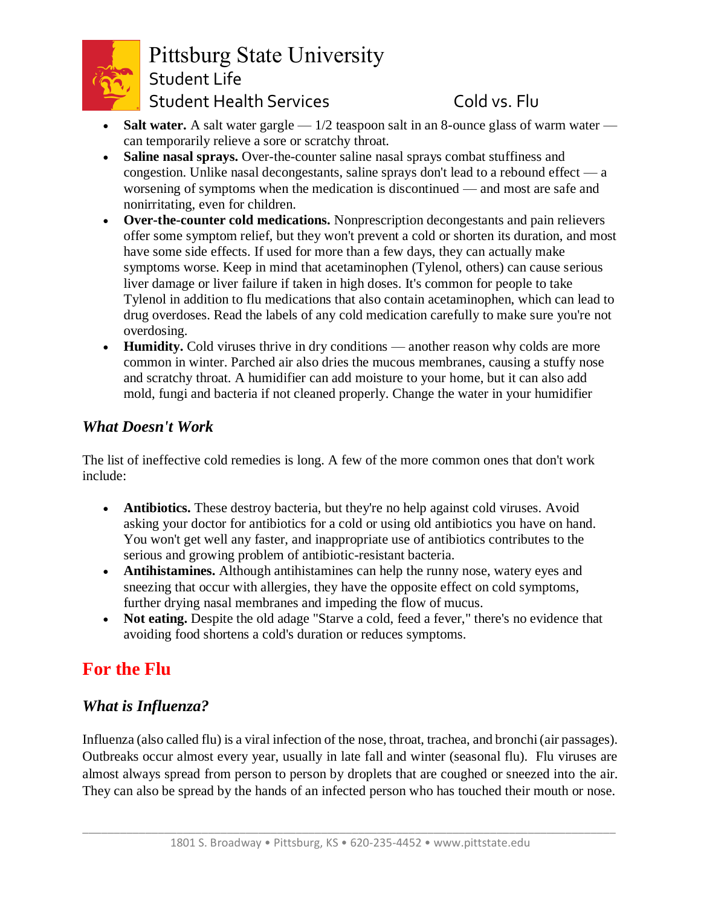

# Pittsburg State University Student Life Student Health Services Cold vs. Flu

- **Salt water.** A salt water gargle 1/2 teaspoon salt in an 8-ounce glass of warm water can temporarily relieve a sore or scratchy throat.
- **Saline nasal sprays.** Over-the-counter saline nasal sprays combat stuffiness and congestion. Unlike nasal decongestants, saline sprays don't lead to a rebound effect — a worsening of symptoms when the medication is discontinued — and most are safe and nonirritating, even for children.
- **Over-the-counter cold medications.** Nonprescription decongestants and pain relievers offer some symptom relief, but they won't prevent a cold or shorten its duration, and most have some side effects. If used for more than a few days, they can actually make symptoms worse. Keep in mind that acetaminophen (Tylenol, others) can cause serious liver damage or liver failure if taken in high doses. It's common for people to take Tylenol in addition to flu medications that also contain acetaminophen, which can lead to drug overdoses. Read the labels of any cold medication carefully to make sure you're not overdosing.
- **Humidity.** Cold viruses thrive in dry conditions another reason why colds are more common in winter. Parched air also dries the mucous membranes, causing a stuffy nose and scratchy throat. A humidifier can add moisture to your home, but it can also add mold, fungi and bacteria if not cleaned properly. Change the water in your humidifier

### *What Doesn't Work*

The list of ineffective cold remedies is long. A few of the more common ones that don't work include:

- **Antibiotics.** These destroy bacteria, but they're no help against cold viruses. Avoid asking your doctor for antibiotics for a cold or using old antibiotics you have on hand. You won't get well any faster, and inappropriate use of antibiotics contributes to the serious and growing problem of antibiotic-resistant bacteria.
- **Antihistamines.** Although antihistamines can help the runny nose, watery eyes and sneezing that occur with allergies, they have the opposite effect on cold symptoms, further drying nasal membranes and impeding the flow of mucus.
- **Not eating.** Despite the old adage "Starve a cold, feed a fever," there's no evidence that avoiding food shortens a cold's duration or reduces symptoms.

## **For the Flu**

### *What is Influenza?*

Influenza (also called flu) is a viral infection of the nose, throat, trachea, and bronchi (air passages). Outbreaks occur almost every year, usually in late fall and winter (seasonal flu). Flu viruses are almost always spread from person to person by droplets that are coughed or sneezed into the air. They can also be spread by the hands of an infected person who has touched their mouth or nose.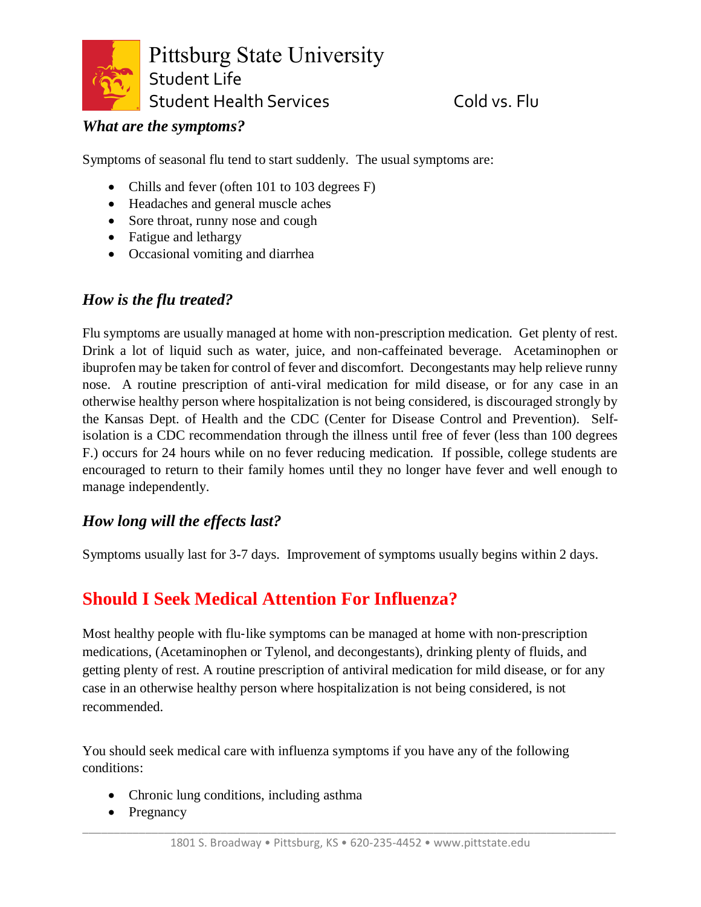

#### *What are the symptoms?*

Symptoms of seasonal flu tend to start suddenly. The usual symptoms are:

- Chills and fever (often 101 to 103 degrees F)
- Headaches and general muscle aches
- Sore throat, runny nose and cough
- Fatigue and lethargy
- Occasional vomiting and diarrhea

#### *How is the flu treated?*

Flu symptoms are usually managed at home with non-prescription medication. Get plenty of rest. Drink a lot of liquid such as water, juice, and non-caffeinated beverage. Acetaminophen or ibuprofen may be taken for control of fever and discomfort. Decongestants may help relieve runny nose. A routine prescription of anti-viral medication for mild disease, or for any case in an otherwise healthy person where hospitalization is not being considered, is discouraged strongly by the Kansas Dept. of Health and the CDC (Center for Disease Control and Prevention). Selfisolation is a CDC recommendation through the illness until free of fever (less than 100 degrees F.) occurs for 24 hours while on no fever reducing medication. If possible, college students are encouraged to return to their family homes until they no longer have fever and well enough to manage independently.

### *How long will the effects last?*

Symptoms usually last for 3-7 days. Improvement of symptoms usually begins within 2 days.

## **Should I Seek Medical Attention For Influenza?**

Most healthy people with flu-like symptoms can be managed at home with non-prescription medications, (Acetaminophen or Tylenol, and decongestants), drinking plenty of fluids, and getting plenty of rest. A routine prescription of antiviral medication for mild disease, or for any case in an otherwise healthy person where hospitalization is not being considered, is not recommended.

You should seek medical care with influenza symptoms if you have any of the following conditions:

- Chronic lung conditions, including asthma
- Pregnancy